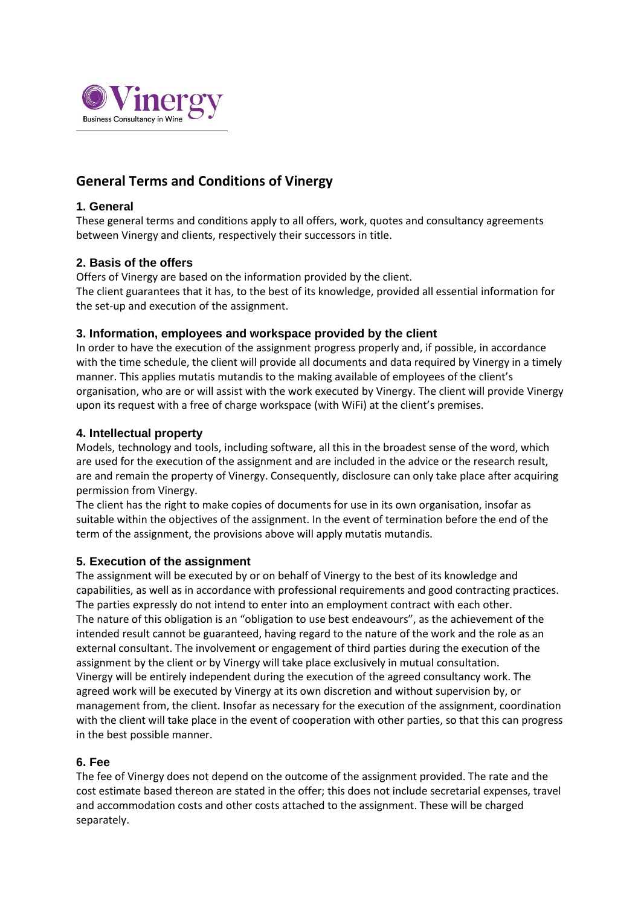

# **General Terms and Conditions of Vinergy**

## **1. General**

These general terms and conditions apply to all offers, work, quotes and consultancy agreements between Vinergy and clients, respectively their successors in title.

## **2. Basis of the offers**

Offers of Vinergy are based on the information provided by the client.

The client guarantees that it has, to the best of its knowledge, provided all essential information for the set-up and execution of the assignment.

## **3. Information, employees and workspace provided by the client**

In order to have the execution of the assignment progress properly and, if possible, in accordance with the time schedule, the client will provide all documents and data required by Vinergy in a timely manner. This applies mutatis mutandis to the making available of employees of the client's organisation, who are or will assist with the work executed by Vinergy. The client will provide Vinergy upon its request with a free of charge workspace (with WiFi) at the client's premises.

## **4. Intellectual property**

Models, technology and tools, including software, all this in the broadest sense of the word, which are used for the execution of the assignment and are included in the advice or the research result, are and remain the property of Vinergy. Consequently, disclosure can only take place after acquiring permission from Vinergy.

The client has the right to make copies of documents for use in its own organisation, insofar as suitable within the objectives of the assignment. In the event of termination before the end of the term of the assignment, the provisions above will apply mutatis mutandis.

## **5. Execution of the assignment**

The assignment will be executed by or on behalf of Vinergy to the best of its knowledge and capabilities, as well as in accordance with professional requirements and good contracting practices. The parties expressly do not intend to enter into an employment contract with each other. The nature of this obligation is an "obligation to use best endeavours", as the achievement of the intended result cannot be guaranteed, having regard to the nature of the work and the role as an external consultant. The involvement or engagement of third parties during the execution of the assignment by the client or by Vinergy will take place exclusively in mutual consultation. Vinergy will be entirely independent during the execution of the agreed consultancy work. The agreed work will be executed by Vinergy at its own discretion and without supervision by, or management from, the client. Insofar as necessary for the execution of the assignment, coordination with the client will take place in the event of cooperation with other parties, so that this can progress in the best possible manner.

## **6. Fee**

The fee of Vinergy does not depend on the outcome of the assignment provided. The rate and the cost estimate based thereon are stated in the offer; this does not include secretarial expenses, travel and accommodation costs and other costs attached to the assignment. These will be charged separately.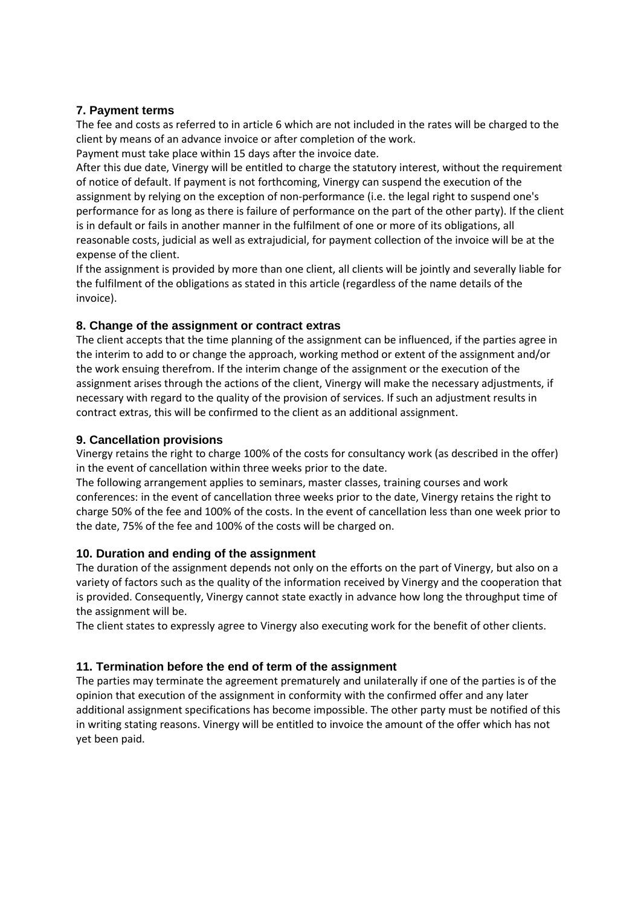## **7. Payment terms**

The fee and costs as referred to in article 6 which are not included in the rates will be charged to the client by means of an advance invoice or after completion of the work.

Payment must take place within 15 days after the invoice date.

After this due date, Vinergy will be entitled to charge the statutory interest, without the requirement of notice of default. If payment is not forthcoming, Vinergy can suspend the execution of the assignment by relying on the exception of non-performance (i.e. the legal right to suspend one's performance for as long as there is failure of performance on the part of the other party). If the client is in default or fails in another manner in the fulfilment of one or more of its obligations, all reasonable costs, judicial as well as extrajudicial, for payment collection of the invoice will be at the expense of the client.

If the assignment is provided by more than one client, all clients will be jointly and severally liable for the fulfilment of the obligations as stated in this article (regardless of the name details of the invoice).

## **8. Change of the assignment or contract extras**

The client accepts that the time planning of the assignment can be influenced, if the parties agree in the interim to add to or change the approach, working method or extent of the assignment and/or the work ensuing therefrom. If the interim change of the assignment or the execution of the assignment arises through the actions of the client, Vinergy will make the necessary adjustments, if necessary with regard to the quality of the provision of services. If such an adjustment results in contract extras, this will be confirmed to the client as an additional assignment.

## **9. Cancellation provisions**

Vinergy retains the right to charge 100% of the costs for consultancy work (as described in the offer) in the event of cancellation within three weeks prior to the date.

The following arrangement applies to seminars, master classes, training courses and work conferences: in the event of cancellation three weeks prior to the date, Vinergy retains the right to charge 50% of the fee and 100% of the costs. In the event of cancellation less than one week prior to the date, 75% of the fee and 100% of the costs will be charged on.

## **10. Duration and ending of the assignment**

The duration of the assignment depends not only on the efforts on the part of Vinergy, but also on a variety of factors such as the quality of the information received by Vinergy and the cooperation that is provided. Consequently, Vinergy cannot state exactly in advance how long the throughput time of the assignment will be.

The client states to expressly agree to Vinergy also executing work for the benefit of other clients.

# **11. Termination before the end of term of the assignment**

The parties may terminate the agreement prematurely and unilaterally if one of the parties is of the opinion that execution of the assignment in conformity with the confirmed offer and any later additional assignment specifications has become impossible. The other party must be notified of this in writing stating reasons. Vinergy will be entitled to invoice the amount of the offer which has not yet been paid.